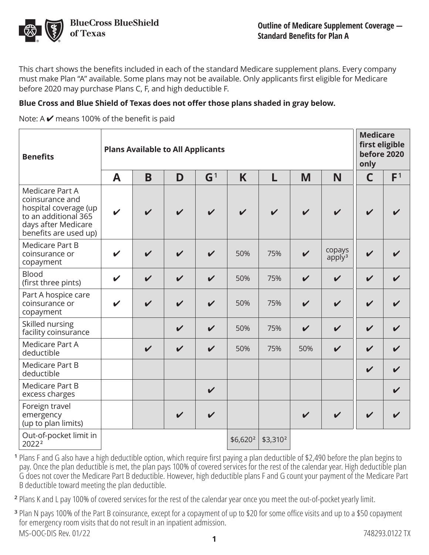

This chart shows the benefits included in each of the standard Medicare supplement plans. Every company must make Plan "A" available. Some plans may not be available. Only applicants first eligible for Medicare before 2020 may purchase Plans C, F, and high deductible F.

#### **Blue Cross and Blue Shield of Texas does not offer those plans shaded in gray below.**

Note: A  $\vee$  means 100% of the benefit is paid

| <b>Benefits</b>                                                                                                                     | <b>Plans Available to All Applicants</b> |                            |                            |                            |            |                      |                            |                                 | <b>Medicare</b><br>first eligible<br>before 2020<br>only |                |
|-------------------------------------------------------------------------------------------------------------------------------------|------------------------------------------|----------------------------|----------------------------|----------------------------|------------|----------------------|----------------------------|---------------------------------|----------------------------------------------------------|----------------|
|                                                                                                                                     | A                                        | B                          | D                          | G <sup>1</sup>             | K          | L                    | M                          | N                               | C                                                        | F <sup>1</sup> |
| Medicare Part A<br>coinsurance and<br>hospital coverage (up<br>to an additional 365<br>days after Medicare<br>benefits are used up) | ✔                                        | $\boldsymbol{\mathcal{U}}$ | $\boldsymbol{\nu}$         |                            |            |                      |                            | ✔                               | $\boldsymbol{\nu}$                                       |                |
| Medicare Part B<br>coinsurance or<br>copayment                                                                                      |                                          | $\boldsymbol{\mathcal{U}}$ | ✔                          | $\boldsymbol{\mathcal{U}}$ | 50%        | 75%                  |                            | copays<br>$a$ pply <sup>3</sup> | $\boldsymbol{\mathcal{U}}$                               |                |
| <b>Blood</b><br>(first three pints)                                                                                                 | $\boldsymbol{\mathcal{U}}$               | $\boldsymbol{\nu}$         | $\checkmark$               | $\checkmark$               | 50%        | 75%                  | $\boldsymbol{\mathcal{U}}$ | $\boldsymbol{\nu}$              | $\boldsymbol{\nu}$                                       |                |
| Part A hospice care<br>coinsurance or<br>copayment                                                                                  | V                                        | $\mathbf v$                | $\checkmark$               | $\checkmark$               | 50%        | 75%                  | $\boldsymbol{\mathcal{U}}$ | $\boldsymbol{\mathcal{U}}$      | $\boldsymbol{\nu}$                                       |                |
| Skilled nursing<br>facility coinsurance                                                                                             |                                          |                            | $\checkmark$               | $\checkmark$               | 50%        | 75%                  | $\boldsymbol{\mathcal{U}}$ | $\boldsymbol{\nu}$              | $\boldsymbol{\nu}$                                       |                |
| Medicare Part A<br>deductible                                                                                                       |                                          | $\checkmark$               | $\checkmark$               | $\checkmark$               | 50%        | 75%                  | 50%                        | $\checkmark$                    | $\checkmark$                                             |                |
| Medicare Part B<br>deductible                                                                                                       |                                          |                            |                            |                            |            |                      |                            |                                 | $\boldsymbol{\nu}$                                       |                |
| Medicare Part B<br>excess charges                                                                                                   |                                          |                            |                            | $\checkmark$               |            |                      |                            |                                 |                                                          |                |
| Foreign travel<br>emergency<br>(up to plan limits)                                                                                  |                                          |                            | $\boldsymbol{\mathcal{U}}$ | $\boldsymbol{\nu}$         |            |                      |                            |                                 |                                                          |                |
| Out-of-pocket limit in<br>2022 <sup>2</sup>                                                                                         |                                          |                            |                            |                            | $$6,620^2$ | \$3,310 <sup>2</sup> |                            |                                 |                                                          |                |

**<sup>1</sup>** Plans F and G also have a high deductible option, which require first paying a plan deductible of \$2,490 before the plan begins to pay. Once the plan deductible is met, the plan pays 100% of covered services for the rest of the calendar year. High deductible plan G does not cover the Medicare Part B deductible. However, high deductible plans F and G count your payment of the Medicare Part B deductible toward meeting the plan deductible.

**2** Plans K and L pay 100% of covered services for the rest of the calendar year once you meet the out-of-pocket yearly limit.

**<sup>3</sup>** Plan N pays 100% of the Part B coinsurance, except for a copayment of up to \$20 for some office visits and up to a \$50 copayment for emergency room visits that do not result in an inpatient admission. MS-OOC-DIS Rev. 01/22 748293.0122 TX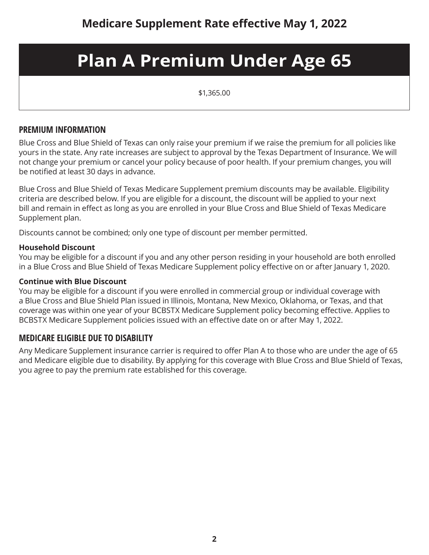## **Plan A Premium Under Age 65**

\$1,365.00

#### **PREMIUM INFORMATION**

Blue Cross and Blue Shield of Texas can only raise your premium if we raise the premium for all policies like yours in the state. Any rate increases are subject to approval by the Texas Department of Insurance. We will not change your premium or cancel your policy because of poor health. If your premium changes, you will be notified at least 30 days in advance.

Blue Cross and Blue Shield of Texas Medicare Supplement premium discounts may be available. Eligibility criteria are described below. If you are eligible for a discount, the discount will be applied to your next bill and remain in effect as long as you are enrolled in your Blue Cross and Blue Shield of Texas Medicare Supplement plan.

Discounts cannot be combined; only one type of discount per member permitted.

#### **Household Discount**

You may be eligible for a discount if you and any other person residing in your household are both enrolled in a Blue Cross and Blue Shield of Texas Medicare Supplement policy effective on or after January 1, 2020.

#### **Continue with Blue Discount**

You may be eligible for a discount if you were enrolled in commercial group or individual coverage with a Blue Cross and Blue Shield Plan issued in Illinois, Montana, New Mexico, Oklahoma, or Texas, and that coverage was within one year of your BCBSTX Medicare Supplement policy becoming effective. Applies to BCBSTX Medicare Supplement policies issued with an effective date on or after May 1, 2022.

#### **MEDICARE ELIGIBLE DUE TO DISABILITY**

Any Medicare Supplement insurance carrier is required to offer Plan A to those who are under the age of 65 and Medicare eligible due to disability. By applying for this coverage with Blue Cross and Blue Shield of Texas, you agree to pay the premium rate established for this coverage.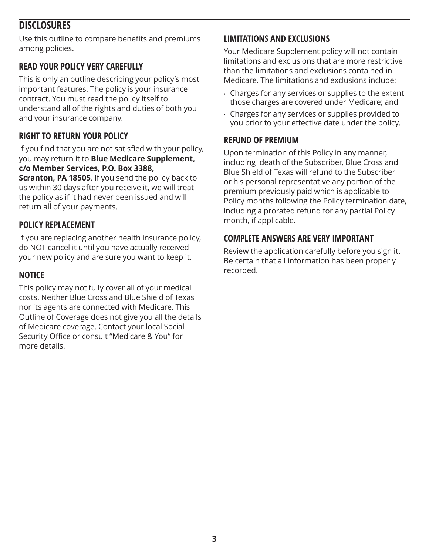## **DISCLOSURES**

Use this outline to compare benefits and premiums among policies.

## **READ YOUR POLICY VERY CAREFULLY**

This is only an outline describing your policy's most important features. The policy is your insurance contract. You must read the policy itself to understand all of the rights and duties of both you and your insurance company.

## **RIGHT TO RETURN YOUR POLICY**

If you find that you are not satisfied with your policy, you may return it to **Blue Medicare Supplement, c/o Member Services, P.O. Box 3388,** 

**Scranton, PA 18505**. If you send the policy back to us within 30 days after you receive it, we will treat the policy as if it had never been issued and will return all of your payments.

## **POLICY REPLACEMENT**

If you are replacing another health insurance policy, do NOT cancel it until you have actually received your new policy and are sure you want to keep it.

#### **NOTICE**

This policy may not fully cover all of your medical costs. Neither Blue Cross and Blue Shield of Texas nor its agents are connected with Medicare. This Outline of Coverage does not give you all the details of Medicare coverage. Contact your local Social Security Office or consult "Medicare & You" for more details.

## **LIMITATIONS AND EXCLUSIONS**

Your Medicare Supplement policy will not contain limitations and exclusions that are more restrictive than the limitations and exclusions contained in Medicare. The limitations and exclusions include:

- Charges for any services or supplies to the extent those charges are covered under Medicare; and
- Charges for any services or supplies provided to you prior to your effective date under the policy.

#### **REFUND OF PREMIUM**

Upon termination of this Policy in any manner, including death of the Subscriber, Blue Cross and Blue Shield of Texas will refund to the Subscriber or his personal representative any portion of the premium previously paid which is applicable to Policy months following the Policy termination date, including a prorated refund for any partial Policy month, if applicable.

#### **COMPLETE ANSWERS ARE VERY IMPORTANT**

Review the application carefully before you sign it. Be certain that all information has been properly recorded.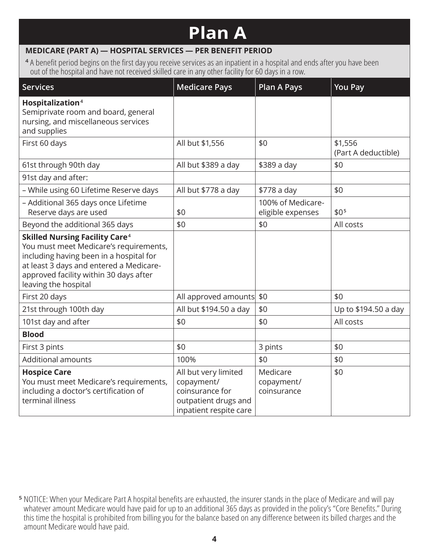# **Plan A**

#### **MEDICARE (PART A) — HOSPITAL SERVICES — PER BENEFIT PERIOD**

**<sup>4</sup>** A benefit period begins on the first day you receive services as an inpatient in a hospital and ends after you have been out of the hospital and have not received skilled care in any other facility for 60 days in a row.

| <b>Services</b>                                                                                                                                                                                                                                    | <b>Medicare Pays</b>                                                                                    | <b>Plan A Pays</b>                     | You Pay                        |
|----------------------------------------------------------------------------------------------------------------------------------------------------------------------------------------------------------------------------------------------------|---------------------------------------------------------------------------------------------------------|----------------------------------------|--------------------------------|
| Hospitalization <sup>4</sup><br>Semiprivate room and board, general<br>nursing, and miscellaneous services<br>and supplies                                                                                                                         |                                                                                                         |                                        |                                |
| First 60 days                                                                                                                                                                                                                                      | All but \$1,556                                                                                         | \$0                                    | \$1,556<br>(Part A deductible) |
| 61st through 90th day                                                                                                                                                                                                                              | All but \$389 a day                                                                                     | \$389 a day                            | \$0                            |
| 91st day and after:                                                                                                                                                                                                                                |                                                                                                         |                                        |                                |
| - While using 60 Lifetime Reserve days                                                                                                                                                                                                             | All but \$778 a day                                                                                     | \$778 a day                            | \$0                            |
| - Additional 365 days once Lifetime<br>Reserve days are used                                                                                                                                                                                       | \$0                                                                                                     | 100% of Medicare-<br>eligible expenses | \$0 <sub>5</sub>               |
| Beyond the additional 365 days                                                                                                                                                                                                                     | \$0                                                                                                     | \$0                                    | All costs                      |
| <b>Skilled Nursing Facility Care<sup>4</sup></b><br>You must meet Medicare's requirements,<br>including having been in a hospital for<br>at least 3 days and entered a Medicare-<br>approved facility within 30 days after<br>leaving the hospital |                                                                                                         |                                        |                                |
| First 20 days                                                                                                                                                                                                                                      | All approved amounts                                                                                    | \$0                                    | \$0                            |
| 21st through 100th day                                                                                                                                                                                                                             | All but \$194.50 a day                                                                                  | \$0                                    | Up to \$194.50 a day           |
| 101st day and after                                                                                                                                                                                                                                | \$0                                                                                                     | \$0                                    | All costs                      |
| <b>Blood</b>                                                                                                                                                                                                                                       |                                                                                                         |                                        |                                |
| First 3 pints                                                                                                                                                                                                                                      | \$0                                                                                                     | 3 pints                                | \$0                            |
| <b>Additional amounts</b>                                                                                                                                                                                                                          | 100%                                                                                                    | \$0                                    | \$0                            |
| <b>Hospice Care</b><br>You must meet Medicare's requirements,<br>including a doctor's certification of<br>terminal illness                                                                                                                         | All but very limited<br>copayment/<br>coinsurance for<br>outpatient drugs and<br>inpatient respite care | Medicare<br>copayment/<br>coinsurance  | \$0                            |

**<sup>5</sup>** NOTICE: When your Medicare Part A hospital benefits are exhausted, the insurer stands in the place of Medicare and will pay whatever amount Medicare would have paid for up to an additional 365 days as provided in the policy's "Core Benefits." During this time the hospital is prohibited from billing you for the balance based on any difference between its billed charges and the amount Medicare would have paid.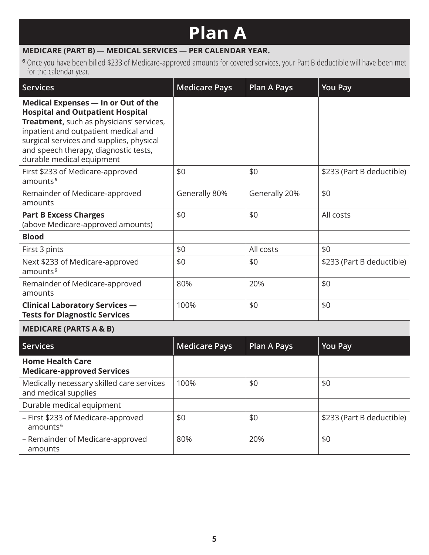# **Plan A**

## **MEDICARE (PART B) — MEDICAL SERVICES — PER CALENDAR YEAR.**

amounts

**<sup>6</sup>** Once you have been billed \$233 of Medicare-approved amounts for covered services, your Part B deductible will have been met for the calendar year.

| <b>Services</b>                                                                                                                                                                                                                                                                      | <b>Medicare Pays</b> | <b>Plan A Pays</b> | <b>You Pay</b>            |  |  |
|--------------------------------------------------------------------------------------------------------------------------------------------------------------------------------------------------------------------------------------------------------------------------------------|----------------------|--------------------|---------------------------|--|--|
| Medical Expenses - In or Out of the<br><b>Hospital and Outpatient Hospital</b><br>Treatment, such as physicians' services,<br>inpatient and outpatient medical and<br>surgical services and supplies, physical<br>and speech therapy, diagnostic tests,<br>durable medical equipment |                      |                    |                           |  |  |
| First \$233 of Medicare-approved<br>amounts <sup>6</sup>                                                                                                                                                                                                                             | \$0                  | \$0                | \$233 (Part B deductible) |  |  |
| Remainder of Medicare-approved<br>amounts                                                                                                                                                                                                                                            | Generally 80%        | Generally 20%      | \$0                       |  |  |
| <b>Part B Excess Charges</b><br>(above Medicare-approved amounts)                                                                                                                                                                                                                    | \$0                  | \$0                | All costs                 |  |  |
| <b>Blood</b>                                                                                                                                                                                                                                                                         |                      |                    |                           |  |  |
| First 3 pints                                                                                                                                                                                                                                                                        | \$0                  | All costs          | \$0                       |  |  |
| Next \$233 of Medicare-approved<br>amounts <sup>6</sup>                                                                                                                                                                                                                              | \$0                  | \$0                | \$233 (Part B deductible) |  |  |
| Remainder of Medicare-approved<br>amounts                                                                                                                                                                                                                                            | 80%                  | 20%                | \$0                       |  |  |
| <b>Clinical Laboratory Services -</b><br><b>Tests for Diagnostic Services</b>                                                                                                                                                                                                        | 100%                 | \$0                | \$0                       |  |  |
| <b>MEDICARE (PARTS A &amp; B)</b>                                                                                                                                                                                                                                                    |                      |                    |                           |  |  |
| <b>Services</b>                                                                                                                                                                                                                                                                      | <b>Medicare Pays</b> | <b>Plan A Pays</b> | <b>You Pay</b>            |  |  |
| <b>Home Health Care</b><br><b>Medicare-approved Services</b>                                                                                                                                                                                                                         |                      |                    |                           |  |  |
| Medically necessary skilled care services<br>and medical supplies                                                                                                                                                                                                                    | 100%                 | \$0                | \$0                       |  |  |
| Durable medical equipment                                                                                                                                                                                                                                                            |                      |                    |                           |  |  |
| - First \$233 of Medicare-approved<br>amounts <sup>6</sup>                                                                                                                                                                                                                           | \$0                  | \$0                | \$233 (Part B deductible) |  |  |
| - Remainder of Medicare-approved                                                                                                                                                                                                                                                     | 80%                  | 20%                | \$0                       |  |  |